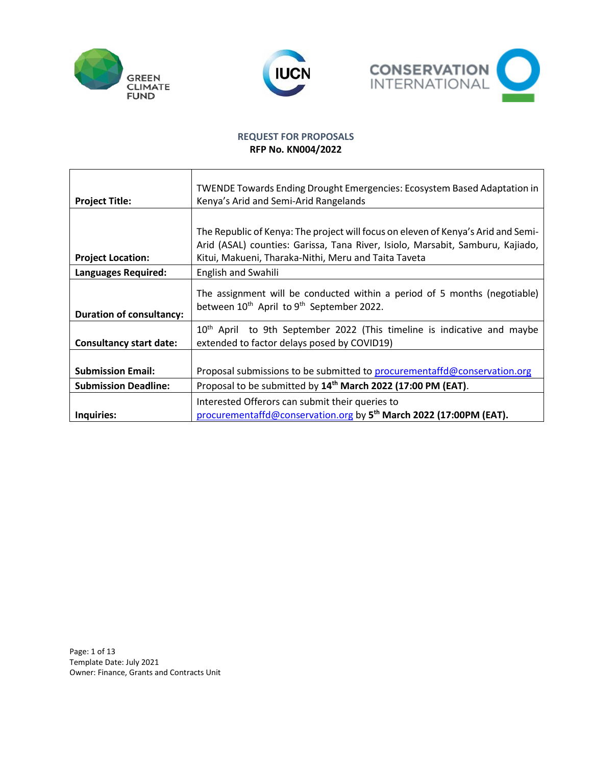





# **REQUEST FOR PROPOSALS RFP No. KN004/2022**

| <b>Project Title:</b>           | TWENDE Towards Ending Drought Emergencies: Ecosystem Based Adaptation in<br>Kenya's Arid and Semi-Arid Rangelands                                                                                                           |  |  |
|---------------------------------|-----------------------------------------------------------------------------------------------------------------------------------------------------------------------------------------------------------------------------|--|--|
| <b>Project Location:</b>        | The Republic of Kenya: The project will focus on eleven of Kenya's Arid and Semi-<br>Arid (ASAL) counties: Garissa, Tana River, Isiolo, Marsabit, Samburu, Kajiado,<br>Kitui, Makueni, Tharaka-Nithi, Meru and Taita Taveta |  |  |
| <b>Languages Required:</b>      | English and Swahili                                                                                                                                                                                                         |  |  |
| <b>Duration of consultancy:</b> | The assignment will be conducted within a period of 5 months (negotiable)<br>between 10 <sup>th</sup> April to 9 <sup>th</sup> September 2022.                                                                              |  |  |
| <b>Consultancy start date:</b>  | 10 <sup>th</sup> April to 9th September 2022 (This timeline is indicative and maybe<br>extended to factor delays posed by COVID19)                                                                                          |  |  |
| <b>Submission Email:</b>        | Proposal submissions to be submitted to procurementaffd@conservation.org                                                                                                                                                    |  |  |
| <b>Submission Deadline:</b>     | Proposal to be submitted by 14 <sup>th</sup> March 2022 (17:00 PM (EAT).                                                                                                                                                    |  |  |
| Inquiries:                      | Interested Offerors can submit their queries to<br>procurementaffd@conservation.org by 5 <sup>th</sup> March 2022 (17:00PM (EAT).                                                                                           |  |  |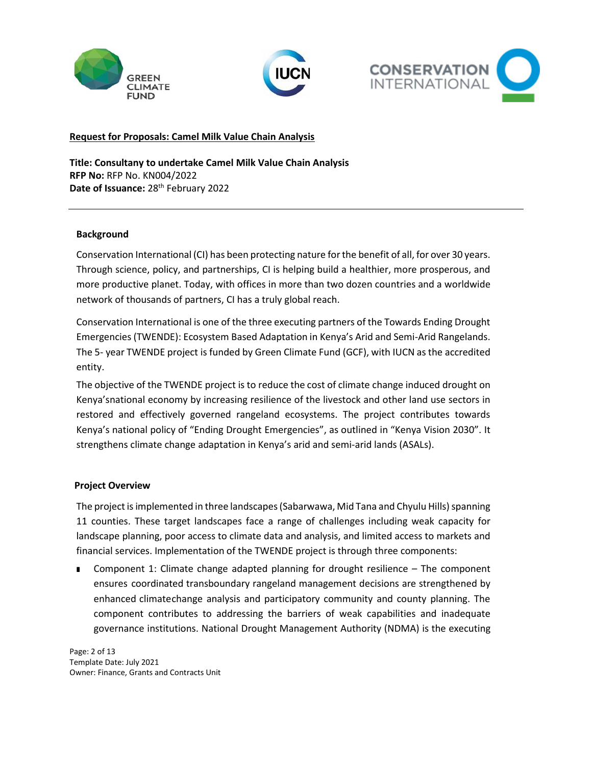





### **Request for Proposals: Camel Milk Value Chain Analysis**

**Title: Consultany to undertake Camel Milk Value Chain Analysis RFP No:** RFP No. KN004/2022 Date of Issuance: 28<sup>th</sup> February 2022

#### **Background**

Conservation International (CI) has been protecting nature for the benefit of all, for over 30 years. Through science, policy, and partnerships, CI is helping build a healthier, more prosperous, and more productive planet. Today, with offices in more than two dozen countries and a worldwide network of thousands of partners, CI has a truly global reach.

Conservation International is one of the three executing partners of the Towards Ending Drought Emergencies (TWENDE): Ecosystem Based Adaptation in Kenya's Arid and Semi-Arid Rangelands. The 5- year TWENDE project is funded by Green Climate Fund (GCF), with IUCN as the accredited entity.

The objective of the TWENDE project is to reduce the cost of climate change induced drought on Kenya'snational economy by increasing resilience of the livestock and other land use sectors in restored and effectively governed rangeland ecosystems. The project contributes towards Kenya's national policy of "Ending Drought Emergencies", as outlined in "Kenya Vision 2030". It strengthens climate change adaptation in Kenya's arid and semi-arid lands (ASALs).

#### **Project Overview**

The project is implemented in three landscapes (Sabarwawa, Mid Tana and Chyulu Hills) spanning 11 counties. These target landscapes face a range of challenges including weak capacity for landscape planning, poor access to climate data and analysis, and limited access to markets and financial services. Implementation of the TWENDE project is through three components:

Component 1: Climate change adapted planning for drought resilience – The component ensures coordinated transboundary rangeland management decisions are strengthened by enhanced climatechange analysis and participatory community and county planning. The component contributes to addressing the barriers of weak capabilities and inadequate governance institutions. National Drought Management Authority (NDMA) is the executing

Page: 2 of 13 Template Date: July 2021 Owner: Finance, Grants and Contracts Unit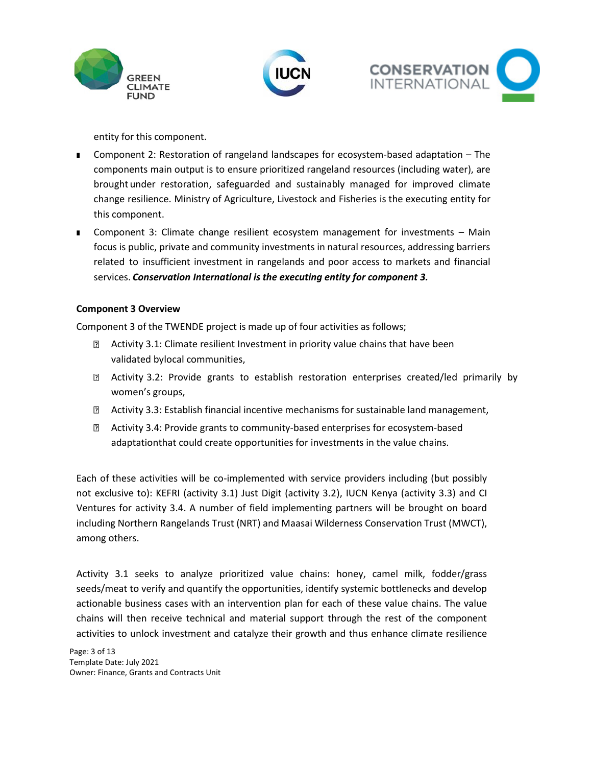





entity for this component.

- Component 2: Restoration of rangeland landscapes for ecosystem-based adaptation The components main output is to ensure prioritized rangeland resources (including water), are brought under restoration, safeguarded and sustainably managed for improved climate change resilience. Ministry of Agriculture, Livestock and Fisheries is the executing entity for this component.
- Component 3: Climate change resilient ecosystem management for investments Main focus is public, private and community investments in natural resources, addressing barriers related to insufficient investment in rangelands and poor access to markets and financial services. *Conservation International is the executing entity for component 3.*

## **Component 3 Overview**

Component 3 of the TWENDE project is made up of four activities as follows;

- Activity 3.1: Climate resilient Investment in priority value chains that have been validated bylocal communities,
- Activity 3.2: Provide grants to establish restoration enterprises created/led primarily by women's groups,
- Activity 3.3: Establish financial incentive mechanisms for sustainable land management,
- Activity 3.4: Provide grants to community-based enterprises for ecosystem-based adaptationthat could create opportunities for investments in the value chains.

Each of these activities will be co-implemented with service providers including (but possibly not exclusive to): KEFRI (activity 3.1) Just Digit (activity 3.2), IUCN Kenya (activity 3.3) and CI Ventures for activity 3.4. A number of field implementing partners will be brought on board including Northern Rangelands Trust (NRT) and Maasai Wilderness Conservation Trust (MWCT), among others.

Activity 3.1 seeks to analyze prioritized value chains: honey, camel milk, fodder/grass seeds/meat to verify and quantify the opportunities, identify systemic bottlenecks and develop actionable business cases with an intervention plan for each of these value chains. The value chains will then receive technical and material support through the rest of the component activities to unlock investment and catalyze their growth and thus enhance climate resilience

Page: 3 of 13 Template Date: July 2021 Owner: Finance, Grants and Contracts Unit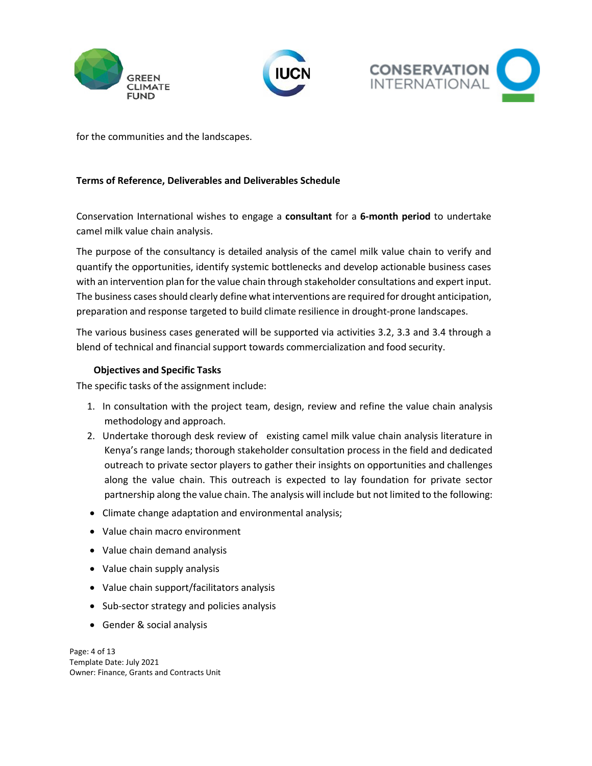





for the communities and the landscapes.

### **Terms of Reference, Deliverables and Deliverables Schedule**

Conservation International wishes to engage a **consultant** for a **6-month period** to undertake camel milk value chain analysis.

The purpose of the consultancy is detailed analysis of the camel milk value chain to verify and quantify the opportunities, identify systemic bottlenecks and develop actionable business cases with an intervention plan for the value chain through stakeholder consultations and expert input. The business cases should clearly define what interventions are required for drought anticipation, preparation and response targeted to build climate resilience in drought-prone landscapes.

The various business cases generated will be supported via activities 3.2, 3.3 and 3.4 through a blend of technical and financial support towards commercialization and food security.

## **Objectives and Specific Tasks**

The specific tasks of the assignment include:

- 1. In consultation with the project team, design, review and refine the value chain analysis methodology and approach.
- 2. Undertake thorough desk review of existing camel milk value chain analysis literature in Kenya's range lands; thorough stakeholder consultation process in the field and dedicated outreach to private sector players to gather their insights on opportunities and challenges along the value chain. This outreach is expected to lay foundation for private sector partnership along the value chain. The analysis will include but not limited to the following:
- Climate change adaptation and environmental analysis;
- Value chain macro environment
- Value chain demand analysis
- Value chain supply analysis
- Value chain support/facilitators analysis
- Sub-sector strategy and policies analysis
- Gender & social analysis

Page: 4 of 13 Template Date: July 2021 Owner: Finance, Grants and Contracts Unit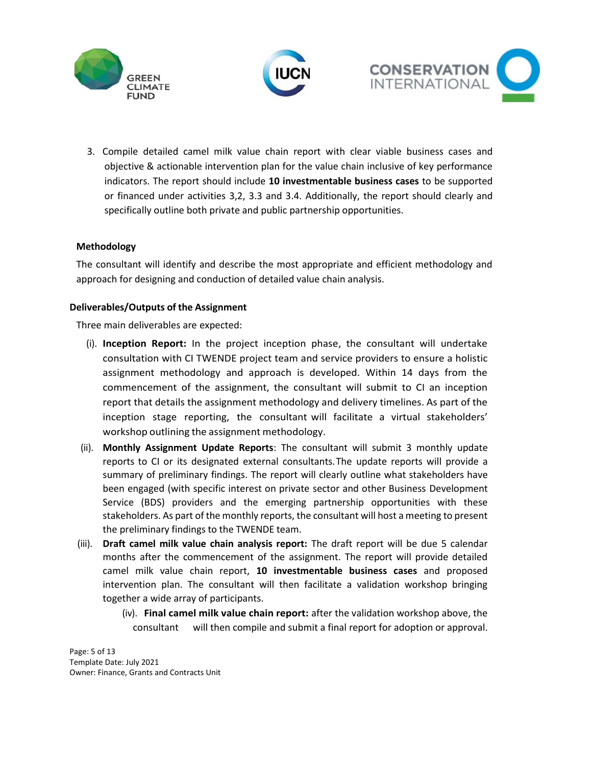





3. Compile detailed camel milk value chain report with clear viable business cases and objective & actionable intervention plan for the value chain inclusive of key performance indicators. The report should include **10 investmentable business cases** to be supported or financed under activities 3,2, 3.3 and 3.4. Additionally, the report should clearly and specifically outline both private and public partnership opportunities.

#### **Methodology**

The consultant will identify and describe the most appropriate and efficient methodology and approach for designing and conduction of detailed value chain analysis.

#### **Deliverables/Outputs of the Assignment**

Three main deliverables are expected:

- (i). **Inception Report:** In the project inception phase, the consultant will undertake consultation with CI TWENDE project team and service providers to ensure a holistic assignment methodology and approach is developed. Within 14 days from the commencement of the assignment, the consultant will submit to CI an inception report that details the assignment methodology and delivery timelines. As part of the inception stage reporting, the consultant will facilitate a virtual stakeholders' workshop outlining the assignment methodology.
- (ii). **Monthly Assignment Update Reports**: The consultant will submit 3 monthly update reports to CI or its designated external consultants.The update reports will provide a summary of preliminary findings. The report will clearly outline what stakeholders have been engaged (with specific interest on private sector and other Business Development Service (BDS) providers and the emerging partnership opportunities with these stakeholders. As part of the monthly reports, the consultant will host a meeting to present the preliminary findings to the TWENDE team.
- (iii). **Draft camel milk value chain analysis report:** The draft report will be due 5 calendar months after the commencement of the assignment. The report will provide detailed camel milk value chain report, **10 investmentable business cases** and proposed intervention plan. The consultant will then facilitate a validation workshop bringing together a wide array of participants.
	- (iv). **Final camel milk value chain report:** after the validation workshop above, the consultant will then compile and submit a final report for adoption or approval.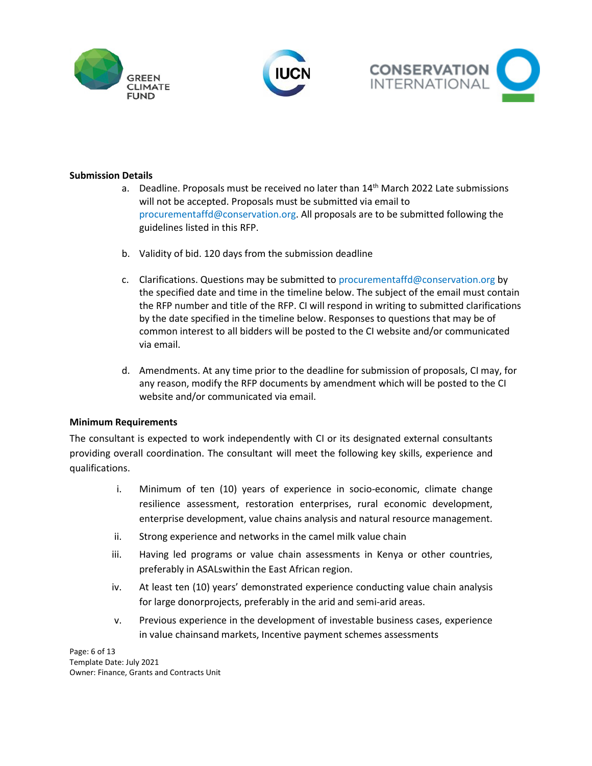





## **Submission Details**

- a. Deadline. Proposals must be received no later than 14<sup>th</sup> March 2022 Late submissions will not be accepted. Proposals must be submitted via email to procurementaffd@conservation.org. All proposals are to be submitted following the guidelines listed in this RFP.
- b. Validity of bid. 120 days from the submission deadline
- c. Clarifications. Questions may be submitted to procurementaffd@conservation.org by the specified date and time in the timeline below. The subject of the email must contain the RFP number and title of the RFP. CI will respond in writing to submitted clarifications by the date specified in the timeline below. Responses to questions that may be of common interest to all bidders will be posted to the CI website and/or communicated via email.
- d. Amendments. At any time prior to the deadline for submission of proposals, CI may, for any reason, modify the RFP documents by amendment which will be posted to the CI website and/or communicated via email.

#### **Minimum Requirements**

The consultant is expected to work independently with CI or its designated external consultants providing overall coordination. The consultant will meet the following key skills, experience and qualifications.

- i. Minimum of ten (10) years of experience in socio-economic, climate change resilience assessment, restoration enterprises, rural economic development, enterprise development, value chains analysis and natural resource management.
- ii. Strong experience and networks in the camel milk value chain
- iii. Having led programs or value chain assessments in Kenya or other countries, preferably in ASALswithin the East African region.
- iv. At least ten (10) years' demonstrated experience conducting value chain analysis for large donorprojects, preferably in the arid and semi-arid areas.
- v. Previous experience in the development of investable business cases, experience in value chainsand markets, Incentive payment schemes assessments

Page: 6 of 13 Template Date: July 2021 Owner: Finance, Grants and Contracts Unit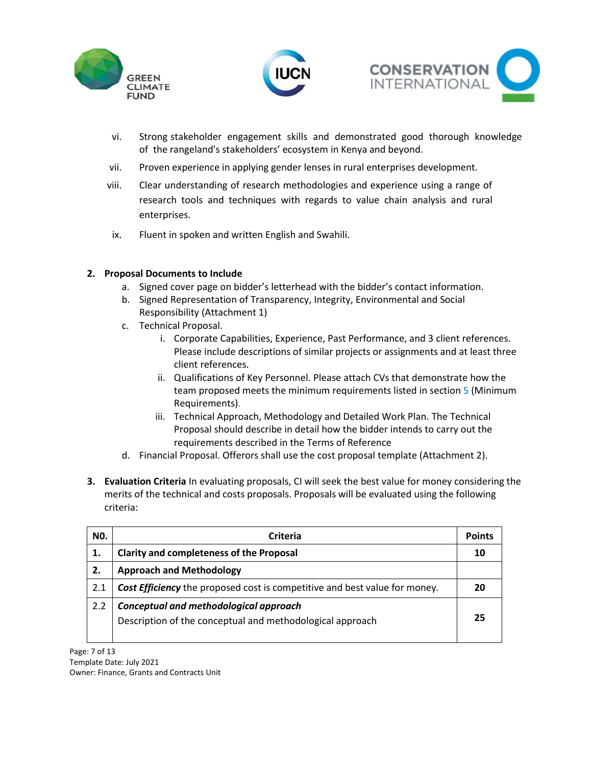





- vi. Strong stakeholder engagement skills and demonstrated good thorough knowledge of the rangeland's stakeholders' ecosystem in Kenya and beyond.
- vii. Proven experience in applying gender lenses in rural enterprises development.
- viii. Clear understanding of research methodologies and experience using a range of research tools and techniques with regards to value chain analysis and rural enterprises.
- ix. Fluent in spoken and written English and Swahili.

## **2. Proposal Documents to Include**

- a. Signed cover page on bidder's letterhead with the bidder's contact information.
- b. Signed Representation of Transparency, Integrity, Environmental and Social Responsibility (Attachment 1)
- c. Technical Proposal.
	- i. Corporate Capabilities, Experience, Past Performance, and 3 client references. Please include descriptions of similar projects or assignments and at least three client references.
	- ii. Qualifications of Key Personnel. Please attach CVs that demonstrate how the team proposed meets the minimum requirements listed in section 5 (Minimum Requirements).
	- iii. Technical Approach, Methodology and Detailed Work Plan. The Technical Proposal should describe in detail how the bidder intends to carry out the requirements described in the Terms of Reference
- d. Financial Proposal. Offerors shall use the cost proposal template (Attachment 2).
- **3. Evaluation Criteria** In evaluating proposals, CI will seek the best value for money considering the merits of the technical and costs proposals. Proposals will be evaluated using the following criteria:

| NO. | Criteria                                                                                            |  |
|-----|-----------------------------------------------------------------------------------------------------|--|
| 1.  | <b>Clarity and completeness of the Proposal</b>                                                     |  |
| 2.  | <b>Approach and Methodology</b>                                                                     |  |
| 2.1 | <b>Cost Efficiency</b> the proposed cost is competitive and best value for money.                   |  |
| 2.2 | Conceptual and methodological approach<br>Description of the conceptual and methodological approach |  |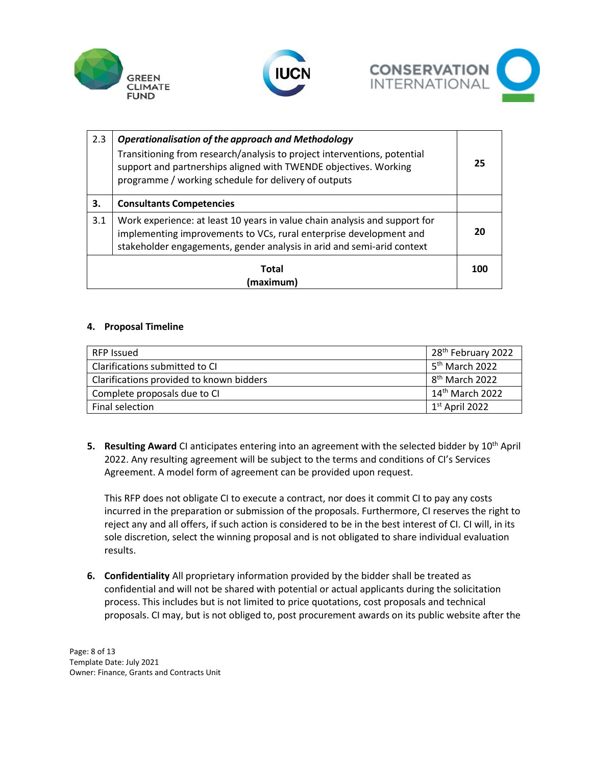





| 2.3                | <b>Operationalisation of the approach and Methodology</b><br>Transitioning from research/analysis to project interventions, potential<br>support and partnerships aligned with TWENDE objectives. Working<br>programme / working schedule for delivery of outputs |     |  |
|--------------------|-------------------------------------------------------------------------------------------------------------------------------------------------------------------------------------------------------------------------------------------------------------------|-----|--|
| З.                 | <b>Consultants Competencies</b>                                                                                                                                                                                                                                   |     |  |
| 3.1                | Work experience: at least 10 years in value chain analysis and support for<br>implementing improvements to VCs, rural enterprise development and<br>stakeholder engagements, gender analysis in arid and semi-arid context                                        | 20  |  |
| Total<br>(maximum) |                                                                                                                                                                                                                                                                   | 100 |  |

#### **4. Proposal Timeline**

| <b>RFP Issued</b>                        | 28 <sup>th</sup> February 2022 |
|------------------------------------------|--------------------------------|
| Clarifications submitted to CI           | 5 <sup>th</sup> March 2022     |
| Clarifications provided to known bidders | 8 <sup>th</sup> March 2022     |
| Complete proposals due to CI             | 14 <sup>th</sup> March 2022    |
| Final selection                          | $1st$ April 2022               |

**5. Resulting Award** CI anticipates entering into an agreement with the selected bidder by 10<sup>th</sup> April 2022. Any resulting agreement will be subject to the terms and conditions of CI's Services Agreement. A model form of agreement can be provided upon request.

This RFP does not obligate CI to execute a contract, nor does it commit CI to pay any costs incurred in the preparation or submission of the proposals. Furthermore, CI reserves the right to reject any and all offers, if such action is considered to be in the best interest of CI. CI will, in its sole discretion, select the winning proposal and is not obligated to share individual evaluation results.

**6. Confidentiality** All proprietary information provided by the bidder shall be treated as confidential and will not be shared with potential or actual applicants during the solicitation process. This includes but is not limited to price quotations, cost proposals and technical proposals. CI may, but is not obliged to, post procurement awards on its public website after the

Page: 8 of 13 Template Date: July 2021 Owner: Finance, Grants and Contracts Unit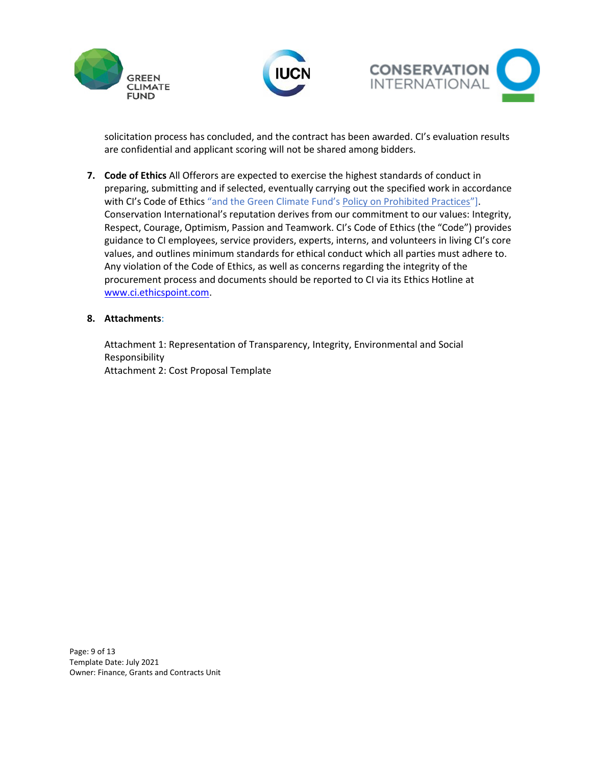





solicitation process has concluded, and the contract has been awarded. CI's evaluation results are confidential and applicant scoring will not be shared among bidders.

**7. Code of Ethics** All Offerors are expected to exercise the highest standards of conduct in preparing, submitting and if selected, eventually carrying out the specified work in accordance with CI's Code of Ethics "and the Green Climate Fund's [Policy on Prohibited Practices](https://www.greenclimate.fund/document/policy-prohibited-practices)"]. Conservation International's reputation derives from our commitment to our values: Integrity, Respect, Courage, Optimism, Passion and Teamwork. CI's Code of Ethics (the "Code") provides guidance to CI employees, service providers, experts, interns, and volunteers in living CI's core values, and outlines minimum standards for ethical conduct which all parties must adhere to. Any violation of the Code of Ethics, as well as concerns regarding the integrity of the procurement process and documents should be reported to CI via its Ethics Hotline at [www.ci.ethicspoint.com.](http://www.ci.ethicspoint.com/)

#### **8. Attachments**:

Attachment 1: Representation of Transparency, Integrity, Environmental and Social Responsibility Attachment 2: Cost Proposal Template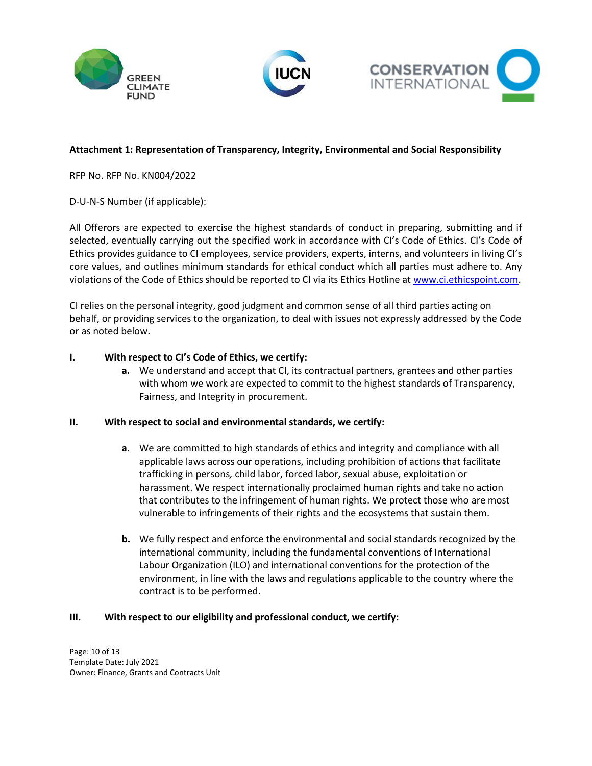





# **Attachment 1: Representation of Transparency, Integrity, Environmental and Social Responsibility**

RFP No. RFP No. KN004/2022

D-U-N-S Number (if applicable):

All Offerors are expected to exercise the highest standards of conduct in preparing, submitting and if selected, eventually carrying out the specified work in accordance with CI's Code of Ethics. CI's Code of Ethics provides guidance to CI employees, service providers, experts, interns, and volunteers in living CI's core values, and outlines minimum standards for ethical conduct which all parties must adhere to. Any violations of the Code of Ethics should be reported to CI via its Ethics Hotline a[t www.ci.ethicspoint.com.](http://www.ci.ethicspoint.com/)

CI relies on the personal integrity, good judgment and common sense of all third parties acting on behalf, or providing services to the organization, to deal with issues not expressly addressed by the Code or as noted below.

#### **I. With respect to CI's Code of Ethics, we certify:**

**a.** We understand and accept that CI, its contractual partners, grantees and other parties with whom we work are expected to commit to the highest standards of Transparency, Fairness, and Integrity in procurement.

#### **II. With respect to social and environmental standards, we certify:**

- **a.** We are committed to high standards of ethics and integrity and compliance with all applicable laws across our operations, including prohibition of actions that facilitate trafficking in persons*,* child labor, forced labor, sexual abuse, exploitation or harassment. We respect internationally proclaimed human rights and take no action that contributes to the infringement of human rights. We protect those who are most vulnerable to infringements of their rights and the ecosystems that sustain them.
- **b.** We fully respect and enforce the environmental and social standards recognized by the international community, including the fundamental conventions of International Labour Organization (ILO) and international conventions for the protection of the environment, in line with the laws and regulations applicable to the country where the contract is to be performed.

#### **III. With respect to our eligibility and professional conduct, we certify:**

Page: 10 of 13 Template Date: July 2021 Owner: Finance, Grants and Contracts Unit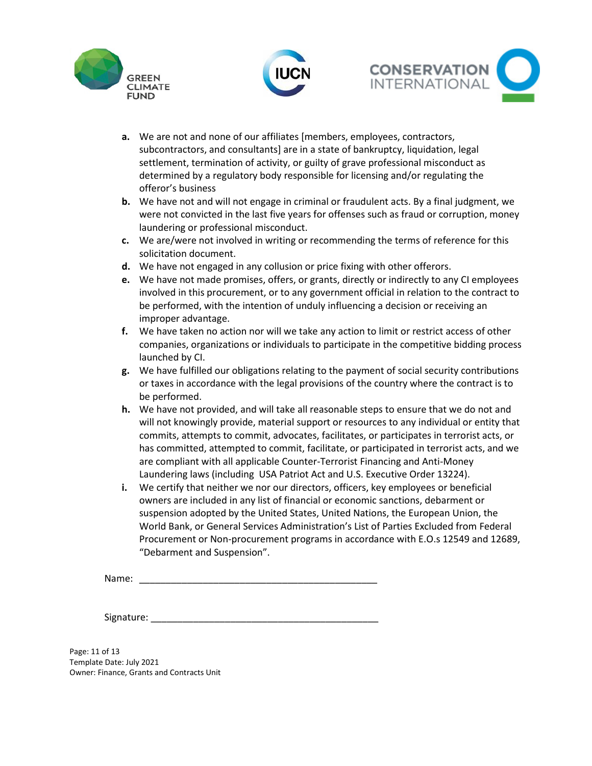





- **a.** We are not and none of our affiliates [members, employees, contractors, subcontractors, and consultants] are in a state of bankruptcy, liquidation, legal settlement, termination of activity, or guilty of grave professional misconduct as determined by a regulatory body responsible for licensing and/or regulating the offeror's business
- **b.** We have not and will not engage in criminal or fraudulent acts. By a final judgment, we were not convicted in the last five years for offenses such as fraud or corruption, money laundering or professional misconduct.
- **c.** We are/were not involved in writing or recommending the terms of reference for this solicitation document.
- **d.** We have not engaged in any collusion or price fixing with other offerors.
- **e.** We have not made promises, offers, or grants, directly or indirectly to any CI employees involved in this procurement, or to any government official in relation to the contract to be performed, with the intention of unduly influencing a decision or receiving an improper advantage.
- **f.** We have taken no action nor will we take any action to limit or restrict access of other companies, organizations or individuals to participate in the competitive bidding process launched by CI.
- **g.** We have fulfilled our obligations relating to the payment of social security contributions or taxes in accordance with the legal provisions of the country where the contract is to be performed.
- **h.** We have not provided, and will take all reasonable steps to ensure that we do not and will not knowingly provide, material support or resources to any individual or entity that commits, attempts to commit, advocates, facilitates, or participates in terrorist acts, or has committed, attempted to commit, facilitate, or participated in terrorist acts, and we are compliant with all applicable Counter-Terrorist Financing and Anti-Money Laundering laws (including USA Patriot Act and U.S. Executive Order 13224).
- **i.** We certify that neither we nor our directors, officers, key employees or beneficial owners are included in any list of financial or economic sanctions, debarment or suspension adopted by the United States, United Nations, the European Union, the World Bank, or General Services Administration's List of Parties Excluded from Federal Procurement or Non-procurement programs in accordance with E.O.s 12549 and 12689, "Debarment and Suspension".

Name: \_\_\_\_\_\_\_\_\_\_\_\_\_\_\_\_\_\_\_\_\_\_\_\_\_\_\_\_\_\_\_\_\_\_\_\_\_\_\_\_\_\_\_\_\_

Signature: \_\_\_\_\_\_

Page: 11 of 13 Template Date: July 2021 Owner: Finance, Grants and Contracts Unit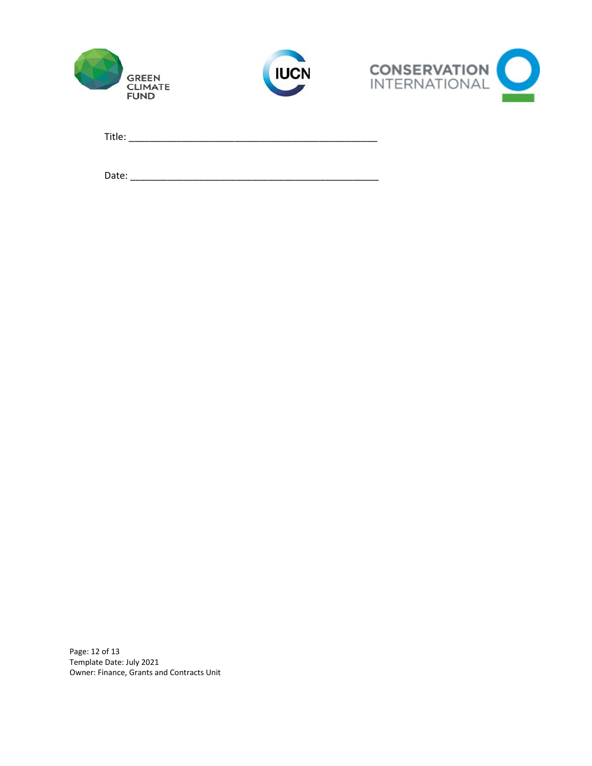





Title: \_\_\_\_\_\_\_\_\_\_\_\_\_\_\_\_\_\_\_\_\_\_\_\_\_\_\_\_\_\_\_\_\_\_\_\_\_\_\_\_\_\_\_\_\_\_\_

Date: \_\_\_\_\_\_\_\_\_\_\_\_\_\_\_\_\_\_\_\_\_\_\_\_\_\_\_\_\_\_\_\_\_\_\_\_\_\_\_\_\_\_\_\_\_\_\_

Page: 12 of 13 Template Date: July 2021 Owner: Finance, Grants and Contracts Unit